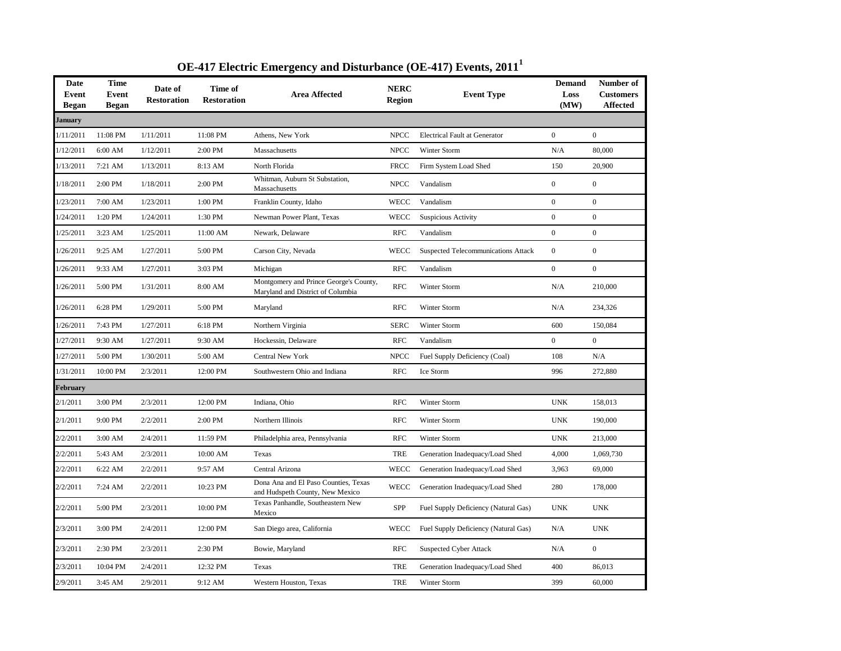| <b>Date</b><br>Event<br><b>Began</b> | <b>Time</b><br><b>Event</b><br><b>Began</b> | Date of<br><b>Restoration</b> | Time of<br><b>Restoration</b> | <b>Area Affected</b>                                                        | <b>NERC</b><br><b>Region</b> | <b>Event Type</b>                          | <b>Demand</b><br>Loss<br>(MW) | Number of<br><b>Customers</b><br><b>Affected</b> |
|--------------------------------------|---------------------------------------------|-------------------------------|-------------------------------|-----------------------------------------------------------------------------|------------------------------|--------------------------------------------|-------------------------------|--------------------------------------------------|
| January                              |                                             |                               |                               |                                                                             |                              |                                            |                               |                                                  |
| 1/11/2011                            | 11:08 PM                                    | 1/11/2011                     | 11:08 PM                      | Athens, New York                                                            | <b>NPCC</b>                  | <b>Electrical Fault at Generator</b>       | $\overline{0}$                | $\overline{0}$                                   |
| 1/12/2011                            | 6:00 AM                                     | 1/12/2011                     | 2:00 PM                       | Massachusetts                                                               | $\ensuremath{\mathsf{NPCC}}$ | <b>Winter Storm</b>                        | N/A                           | 80,000                                           |
| 1/13/2011                            | 7:21 AM                                     | 1/13/2011                     | 8:13 AM                       | North Florida                                                               | <b>FRCC</b>                  | Firm System Load Shed                      | 150                           | 20,900                                           |
| 1/18/2011                            | 2:00 PM                                     | 1/18/2011                     | 2:00 PM                       | Whitman, Auburn St Substation,<br>Massachusetts                             | <b>NPCC</b>                  | Vandalism                                  | $\boldsymbol{0}$              | $\boldsymbol{0}$                                 |
| 1/23/2011                            | 7:00 AM                                     | 1/23/2011                     | 1:00 PM                       | Franklin County, Idaho                                                      | <b>WECC</b>                  | Vandalism                                  | $\boldsymbol{0}$              | $\boldsymbol{0}$                                 |
| 1/24/2011                            | 1:20 PM                                     | 1/24/2011                     | 1:30 PM                       | Newman Power Plant, Texas                                                   | <b>WECC</b>                  | Suspicious Activity                        | $\boldsymbol{0}$              | $\boldsymbol{0}$                                 |
| 1/25/2011                            | 3:23 AM                                     | 1/25/2011                     | 11:00 AM                      | Newark, Delaware                                                            | <b>RFC</b>                   | Vandalism                                  | $\boldsymbol{0}$              | $\boldsymbol{0}$                                 |
| 1/26/2011                            | 9:25 AM                                     | 1/27/2011                     | 5:00 PM                       | Carson City, Nevada                                                         | <b>WECC</b>                  | <b>Suspected Telecommunications Attack</b> | $\boldsymbol{0}$              | $\boldsymbol{0}$                                 |
| 1/26/2011                            | 9:33 AM                                     | 1/27/2011                     | 3:03 PM                       | Michigan                                                                    | <b>RFC</b>                   | Vandalism                                  | $\boldsymbol{0}$              | $\boldsymbol{0}$                                 |
| 1/26/2011                            | 5:00 PM                                     | 1/31/2011                     | 8:00 AM                       | Montgomery and Prince George's County,<br>Maryland and District of Columbia | <b>RFC</b>                   | Winter Storm                               | N/A                           | 210,000                                          |
| 1/26/2011                            | 6:28 PM                                     | 1/29/2011                     | 5:00 PM                       | Maryland                                                                    | <b>RFC</b>                   | Winter Storm                               | N/A                           | 234,326                                          |
| 1/26/2011                            | 7:43 PM                                     | 1/27/2011                     | 6:18 PM                       | Northern Virginia                                                           | <b>SERC</b>                  | Winter Storm                               | 600                           | 150,084                                          |
| 1/27/2011                            | 9:30 AM                                     | 1/27/2011                     | 9:30 AM                       | Hockessin, Delaware                                                         | <b>RFC</b>                   | Vandalism                                  | $\boldsymbol{0}$              | $\mathbf{0}$                                     |
| 1/27/2011                            | 5:00 PM                                     | 1/30/2011                     | 5:00 AM                       | Central New York                                                            | <b>NPCC</b>                  | Fuel Supply Deficiency (Coal)              | 108                           | N/A                                              |
| 1/31/2011                            | 10:00 PM                                    | 2/3/2011                      | 12:00 PM                      | Southwestern Ohio and Indiana                                               | <b>RFC</b>                   | Ice Storm                                  | 996                           | 272,880                                          |
| February                             |                                             |                               |                               |                                                                             |                              |                                            |                               |                                                  |
| 2/1/2011                             | 3:00 PM                                     | 2/3/2011                      | 12:00 PM                      | Indiana, Ohio                                                               | <b>RFC</b>                   | Winter Storm                               | <b>UNK</b>                    | 158,013                                          |
| 2/1/2011                             | 9:00 PM                                     | 2/2/2011                      | 2:00 PM                       | Northern Illinois                                                           | <b>RFC</b>                   | Winter Storm                               | <b>UNK</b>                    | 190,000                                          |
| 2/2/2011                             | 3:00 AM                                     | 2/4/2011                      | 11:59 PM                      | Philadelphia area, Pennsylvania                                             | <b>RFC</b>                   | Winter Storm                               | <b>UNK</b>                    | 213,000                                          |
| 2/2/2011                             | 5:43 AM                                     | 2/3/2011                      | 10:00 AM                      | Texas                                                                       | <b>TRE</b>                   | Generation Inadequacy/Load Shed            | 4,000                         | 1,069,730                                        |
| 2/2/2011                             | 6:22 AM                                     | 2/2/2011                      | 9:57 AM                       | Central Arizona                                                             | <b>WECC</b>                  | Generation Inadequacy/Load Shed            | 3,963                         | 69,000                                           |
| 2/2/2011                             | 7:24 AM                                     | 2/2/2011                      | 10:23 PM                      | Dona Ana and El Paso Counties, Texas<br>and Hudspeth County, New Mexico     | WECC                         | Generation Inadequacy/Load Shed            | 280                           | 178,000                                          |
| 2/2/2011                             | 5:00 PM                                     | 2/3/2011                      | 10:00 PM                      | Texas Panhandle, Southeastern New<br>Mexico                                 | SPP                          | Fuel Supply Deficiency (Natural Gas)       | <b>UNK</b>                    | <b>UNK</b>                                       |
| 2/3/2011                             | 3:00 PM                                     | 2/4/2011                      | 12:00 PM                      | San Diego area, California                                                  | <b>WECC</b>                  | Fuel Supply Deficiency (Natural Gas)       | N/A                           | <b>UNK</b>                                       |
| 2/3/2011                             | 2:30 PM                                     | 2/3/2011                      | 2:30 PM                       | Bowie, Maryland                                                             | <b>RFC</b>                   | <b>Suspected Cyber Attack</b>              | N/A                           | $\boldsymbol{0}$                                 |
| 2/3/2011                             | 10:04 PM                                    | 2/4/2011                      | 12:32 PM                      | Texas                                                                       | <b>TRE</b>                   | Generation Inadequacy/Load Shed            | 400                           | 86,013                                           |
| 2/9/2011                             | 3:45 AM                                     | 2/9/2011                      | 9:12 AM                       | Western Houston, Texas                                                      | <b>TRE</b>                   | <b>Winter Storm</b>                        | 399                           | 60,000                                           |

**OE-417 Electric Emergency and Disturbance (OE-417) Events, 2011<sup>1</sup>**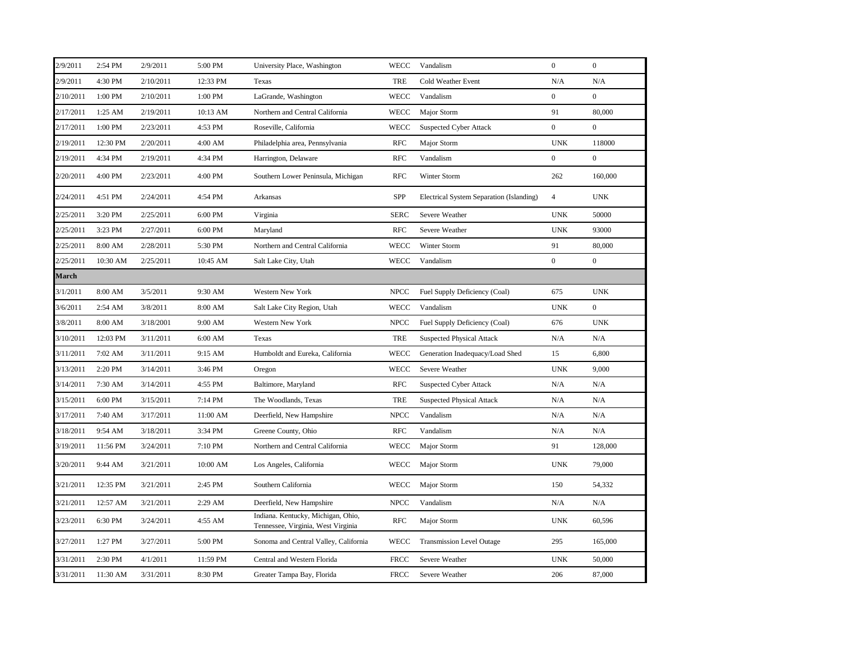| 2/9/2011     | 2:54 PM  | 2/9/2011  | 5:00 PM  | University Place, Washington                                             | <b>WECC</b> | Vandalism                                | $\boldsymbol{0}$ | $\boldsymbol{0}$ |
|--------------|----------|-----------|----------|--------------------------------------------------------------------------|-------------|------------------------------------------|------------------|------------------|
| 2/9/2011     | 4:30 PM  | 2/10/2011 | 12:33 PM | Texas                                                                    | <b>TRE</b>  | Cold Weather Event                       | N/A              | N/A              |
| 2/10/2011    | 1:00 PM  | 2/10/2011 | 1:00 PM  | LaGrande, Washington                                                     | <b>WECC</b> | Vandalism                                | $\overline{0}$   | $\mathbf{0}$     |
| 2/17/2011    | 1:25 AM  | 2/19/2011 | 10:13 AM | Northern and Central California                                          | <b>WECC</b> | Major Storm                              | 91               | 80,000           |
| 2/17/2011    | 1:00 PM  | 2/23/2011 | 4:53 PM  | Roseville, California                                                    | <b>WECC</b> | <b>Suspected Cyber Attack</b>            | $\overline{0}$   | $\mathbf{0}$     |
| 2/19/2011    | 12:30 PM | 2/20/2011 | 4:00 AM  | Philadelphia area, Pennsylvania                                          | <b>RFC</b>  | Major Storm                              | <b>UNK</b>       | 118000           |
| 2/19/2011    | 4:34 PM  | 2/19/2011 | 4:34 PM  | Harrington, Delaware                                                     | <b>RFC</b>  | Vandalism                                | $\overline{0}$   | $\boldsymbol{0}$ |
| 2/20/2011    | 4:00 PM  | 2/23/2011 | 4:00 PM  | Southern Lower Peninsula, Michigan                                       | <b>RFC</b>  | Winter Storm                             | 262              | 160,000          |
| 2/24/2011    | 4:51 PM  | 2/24/2011 | 4:54 PM  | Arkansas                                                                 | SPP         | Electrical System Separation (Islanding) | $\overline{4}$   | <b>UNK</b>       |
| 2/25/2011    | 3:20 PM  | 2/25/2011 | 6:00 PM  | Virginia                                                                 | <b>SERC</b> | Severe Weather                           | <b>UNK</b>       | 50000            |
| 2/25/2011    | 3:23 PM  | 2/27/2011 | 6:00 PM  | Maryland                                                                 | <b>RFC</b>  | Severe Weather                           | <b>UNK</b>       | 93000            |
| 2/25/2011    | 8:00 AM  | 2/28/2011 | 5:30 PM  | Northern and Central California                                          | <b>WECC</b> | Winter Storm                             | 91               | 80,000           |
| 2/25/2011    | 10:30 AM | 2/25/2011 | 10:45 AM | Salt Lake City, Utah                                                     | <b>WECC</b> | Vandalism                                | $\overline{0}$   | $\boldsymbol{0}$ |
| <b>March</b> |          |           |          |                                                                          |             |                                          |                  |                  |
| 3/1/2011     | 8:00 AM  | 3/5/2011  | 9:30 AM  | Western New York                                                         | <b>NPCC</b> | Fuel Supply Deficiency (Coal)            | 675              | <b>UNK</b>       |
| 3/6/2011     | 2:54 AM  | 3/8/2011  | 8:00 AM  | Salt Lake City Region, Utah                                              | <b>WECC</b> | Vandalism                                | <b>UNK</b>       | $\mathbf{0}$     |
| 3/8/2011     | 8:00 AM  | 3/18/2001 | 9:00 AM  | Western New York                                                         | <b>NPCC</b> | Fuel Supply Deficiency (Coal)            | 676              | <b>UNK</b>       |
| 3/10/2011    | 12:03 PM | 3/11/2011 | 6:00 AM  | Texas                                                                    | <b>TRE</b>  | <b>Suspected Physical Attack</b>         | N/A              | N/A              |
| 3/11/2011    | 7:02 AM  | 3/11/2011 | 9:15 AM  | Humboldt and Eureka, California                                          | <b>WECC</b> | Generation Inadequacy/Load Shed          | 15               | 6,800            |
| 3/13/2011    | 2:20 PM  | 3/14/2011 | 3:46 PM  | Oregon                                                                   | <b>WECC</b> | Severe Weather                           | <b>UNK</b>       | 9,000            |
| 3/14/2011    | 7:30 AM  | 3/14/2011 | 4:55 PM  | Baltimore, Maryland                                                      | <b>RFC</b>  | <b>Suspected Cyber Attack</b>            | N/A              | N/A              |
| 3/15/2011    | 6:00 PM  | 3/15/2011 | 7:14 PM  | The Woodlands, Texas                                                     | <b>TRE</b>  | <b>Suspected Physical Attack</b>         | N/A              | N/A              |
| 3/17/2011    | 7:40 AM  | 3/17/2011 | 11:00 AM | Deerfield, New Hampshire                                                 | <b>NPCC</b> | Vandalism                                | N/A              | N/A              |
| 3/18/2011    | 9:54 AM  | 3/18/2011 | 3:34 PM  | Greene County, Ohio                                                      | <b>RFC</b>  | Vandalism                                | N/A              | N/A              |
| 3/19/2011    | 11:56 PM | 3/24/2011 | 7:10 PM  | Northern and Central California                                          | <b>WECC</b> | Major Storm                              | 91               | 128,000          |
| 3/20/2011    | 9:44 AM  | 3/21/2011 | 10:00 AM | Los Angeles, California                                                  | WECC        | Major Storm                              | <b>UNK</b>       | 79,000           |
| 3/21/2011    | 12:35 PM | 3/21/2011 | 2:45 PM  | Southern California                                                      | <b>WECC</b> | Major Storm                              | 150              | 54,332           |
| 3/21/2011    | 12:57 AM | 3/21/2011 | 2:29 AM  | Deerfield, New Hampshire                                                 | <b>NPCC</b> | Vandalism                                | N/A              | N/A              |
| 3/23/2011    | 6:30 PM  | 3/24/2011 | 4:55 AM  | Indiana. Kentucky, Michigan, Ohio,<br>Tennessee, Virginia, West Virginia | <b>RFC</b>  | Major Storm                              | <b>UNK</b>       | 60,596           |
| 3/27/2011    | 1:27 PM  | 3/27/2011 | 5:00 PM  | Sonoma and Central Valley, California                                    | WECC        | <b>Transmission Level Outage</b>         | 295              | 165,000          |
| 3/31/2011    | 2:30 PM  | 4/1/2011  | 11:59 PM | Central and Western Florida                                              | <b>FRCC</b> | Severe Weather                           | <b>UNK</b>       | 50,000           |
| 3/31/2011    | 11:30 AM | 3/31/2011 | 8:30 PM  | Greater Tampa Bay, Florida                                               | <b>FRCC</b> | Severe Weather                           | 206              | 87,000           |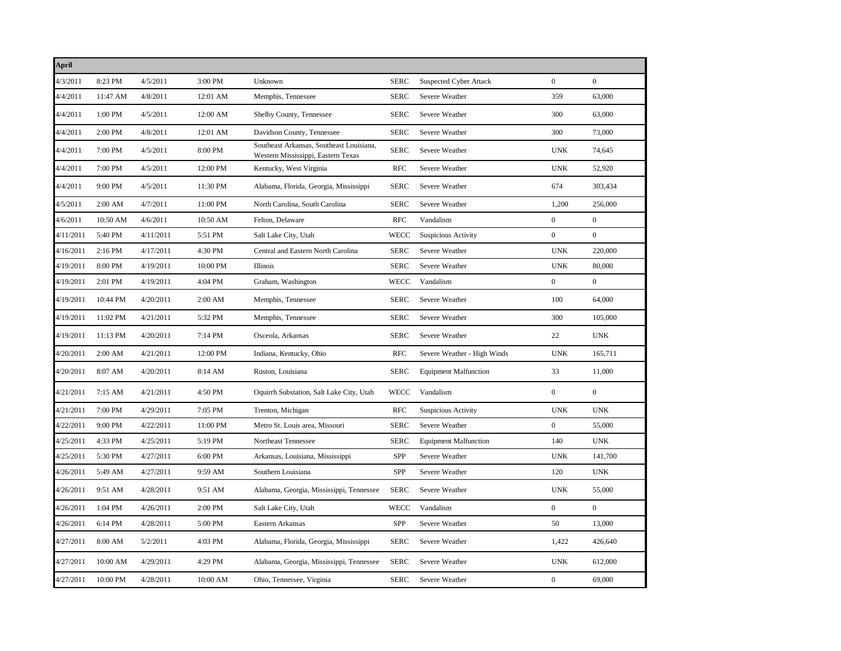| <b>April</b> |          |           |          |                                                                                |             |                               |                  |                  |
|--------------|----------|-----------|----------|--------------------------------------------------------------------------------|-------------|-------------------------------|------------------|------------------|
| 4/3/2011     | 8:23 PM  | 4/5/2011  | 3:00 PM  | Unknown                                                                        | <b>SERC</b> | <b>Suspected Cyber Attack</b> | $\mathbf{0}$     | $\boldsymbol{0}$ |
| 4/4/2011     | 11:47 AM | 4/8/2011  | 12:01 AM | Memphis, Tennessee                                                             | <b>SERC</b> | Severe Weather                | 359              | 63,000           |
| 4/4/2011     | 1:00 PM  | 4/5/2011  | 12:00 AM | Shelby County, Tennessee                                                       | <b>SERC</b> | Severe Weather                | 300              | 63,000           |
| 4/4/2011     | 2:00 PM  | 4/8/2011  | 12:01 AM | Davidson County, Tennessee                                                     | <b>SERC</b> | Severe Weather                | 300              | 73,000           |
| 4/4/2011     | 7:00 PM  | 4/5/2011  | 8:00 PM  | Southeast Arkansas, Southeast Louisiana,<br>Western Mississippi, Eastern Texas | <b>SERC</b> | Severe Weather                | <b>UNK</b>       | 74,645           |
| 4/4/2011     | 7:00 PM  | 4/5/2011  | 12:00 PM | Kentucky, West Virginia                                                        | <b>RFC</b>  | Severe Weather                | <b>UNK</b>       | 52,920           |
| 4/4/2011     | 9:00 PM  | 4/5/2011  | 11:30 PM | Alabama, Florida, Georgia, Mississippi                                         | <b>SERC</b> | Severe Weather                | 674              | 303,434          |
| 4/5/2011     | 2:00 AM  | 4/7/2011  | 11:00 PM | North Carolina, South Carolina                                                 | <b>SERC</b> | Severe Weather                | 1,200            | 256,000          |
| 4/6/2011     | 10:50 AM | 4/6/2011  | 10:50 AM | Felton, Delaware                                                               | <b>RFC</b>  | Vandalism                     | $\boldsymbol{0}$ | $\boldsymbol{0}$ |
| 4/11/2011    | 5:40 PM  | 4/11/2011 | 5:51 PM  | Salt Lake City, Utah                                                           | WECC        | <b>Suspicious Activity</b>    | $\boldsymbol{0}$ | $\boldsymbol{0}$ |
| 4/16/2011    | 2:16 PM  | 4/17/2011 | 4:30 PM  | Central and Eastern North Carolina                                             | <b>SERC</b> | Severe Weather                | <b>UNK</b>       | 220,000          |
| 4/19/2011    | 8:00 PM  | 4/19/2011 | 10:00 PM | Illinois                                                                       | <b>SERC</b> | Severe Weather                | <b>UNK</b>       | 80,000           |
| 4/19/2011    | 2:01 PM  | 4/19/2011 | 4:04 PM  | Graham, Washington                                                             | WECC        | Vandalism                     | $\mathbf{0}$     | $\boldsymbol{0}$ |
| 4/19/2011    | 10:44 PM | 4/20/2011 | 2:00 AM  | Memphis, Tennessee                                                             | <b>SERC</b> | Severe Weather                | 100              | 64,000           |
| 4/19/2011    | 11:02 PM | 4/21/2011 | 5:32 PM  | Memphis, Tennessee                                                             | <b>SERC</b> | Severe Weather                | 300              | 105,000          |
| 4/19/2011    | 11:13 PM | 4/20/2011 | 7:14 PM  | Osceola, Arkansas                                                              | <b>SERC</b> | Severe Weather                | 22               | <b>UNK</b>       |
| 4/20/2011    | 2:00 AM  | 4/21/2011 | 12:00 PM | Indiana, Kentucky, Ohio                                                        | <b>RFC</b>  | Severe Weather - High Winds   | <b>UNK</b>       | 165,711          |
| 4/20/2011    | 8:07 AM  | 4/20/2011 | 8:14 AM  | Ruston, Louisiana                                                              | <b>SERC</b> | <b>Equipment Malfunction</b>  | 33               | 11,000           |
| 4/21/2011    | 7:15 AM  | 4/21/2011 | 4:50 PM  | Oquirrh Substation, Salt Lake City, Utah                                       | WECC        | Vandalism                     | $\mathbf{0}$     | $\boldsymbol{0}$ |
| 4/21/2011    | 7:00 PM  | 4/29/2011 | 7:05 PM  | Trenton, Michigan                                                              | <b>RFC</b>  | Suspicious Activity           | <b>UNK</b>       | <b>UNK</b>       |
| 4/22/2011    | 9:00 PM  | 4/22/2011 | 11:00 PM | Metro St. Louis area, Missouri                                                 | <b>SERC</b> | Severe Weather                | $\mathbf{0}$     | 55,000           |
| 4/25/2011    | 4:33 PM  | 4/25/2011 | 5:19 PM  | Northeast Tennessee                                                            | <b>SERC</b> | <b>Equipment Malfunction</b>  | 140              | <b>UNK</b>       |
| 4/25/2011    | 5:30 PM  | 4/27/2011 | 6:00 PM  | Arkansas, Louisiana, Mississippi                                               | <b>SPP</b>  | Severe Weather                | <b>UNK</b>       | 141,700          |
| 4/26/2011    | 5:49 AM  | 4/27/2011 | 9:59 AM  | Southern Louisiana                                                             | SPP         | Severe Weather                | 120              | <b>UNK</b>       |
| 4/26/2011    | 9:51 AM  | 4/28/2011 | 9:51 AM  | Alabama, Georgia, Mississippi, Tennessee                                       | <b>SERC</b> | Severe Weather                | <b>UNK</b>       | 55,000           |
| 4/26/2011    | 1:04 PM  | 4/26/2011 | 2:00 PM  | Salt Lake City, Utah                                                           | <b>WECC</b> | Vandalism                     | $\overline{0}$   | $\overline{0}$   |
| 4/26/2011    | 6:14 PM  | 4/28/2011 | 5:00 PM  | Eastern Arkansas                                                               | SPP         | Severe Weather                | 50               | 13,000           |
| 4/27/2011    | 8:00 AM  | 5/2/2011  | 4:03 PM  | Alabama, Florida, Georgia, Mississippi                                         | <b>SERC</b> | Severe Weather                | 1,422            | 426,640          |
| 4/27/2011    | 10:00 AM | 4/29/2011 | 4:29 PM  | Alabama, Georgia, Mississippi, Tennessee                                       | <b>SERC</b> | Severe Weather                | <b>UNK</b>       | 612,000          |
| 4/27/2011    | 10:00 PM | 4/28/2011 | 10:00 AM | Ohio, Tennessee, Virginia                                                      | <b>SERC</b> | Severe Weather                | $\mathbf{0}$     | 69,000           |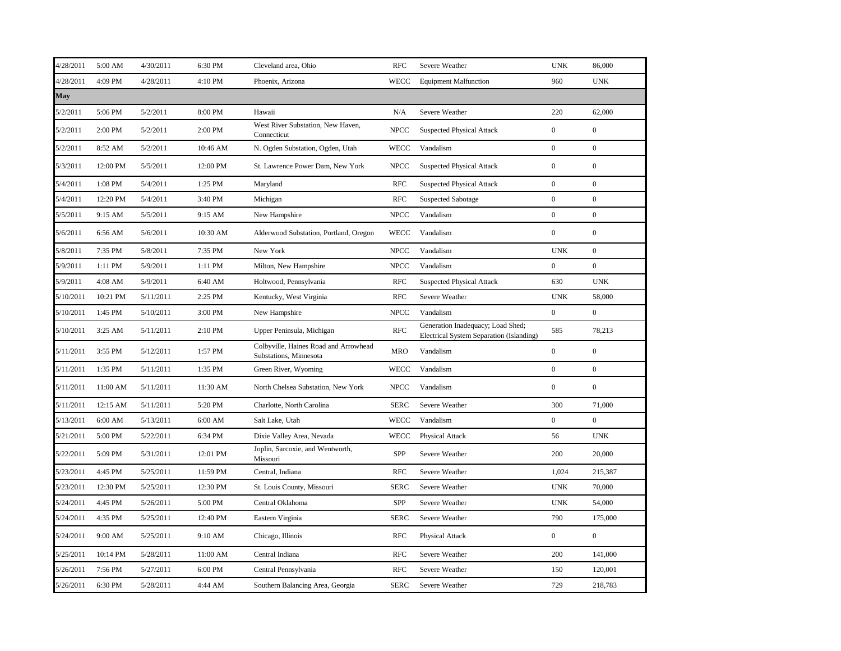| 4/28/2011 | 5:00 AM  | 4/30/2011 | 6:30 PM  | Cleveland area, Ohio                                            | <b>RFC</b>  | Severe Weather                                                                | <b>UNK</b>       | 86,000           |
|-----------|----------|-----------|----------|-----------------------------------------------------------------|-------------|-------------------------------------------------------------------------------|------------------|------------------|
| 4/28/2011 | 4:09 PM  | 4/28/2011 | 4:10 PM  | Phoenix, Arizona                                                | <b>WECC</b> | <b>Equipment Malfunction</b>                                                  | 960              | <b>UNK</b>       |
| May       |          |           |          |                                                                 |             |                                                                               |                  |                  |
| 5/2/2011  | 5:06 PM  | 5/2/2011  | 8:00 PM  | Hawaii                                                          | N/A         | Severe Weather                                                                | 220              | 62,000           |
| 5/2/2011  | 2:00 PM  | 5/2/2011  | 2:00 PM  | West River Substation, New Haven,<br>Connecticut                | <b>NPCC</b> | <b>Suspected Physical Attack</b>                                              | $\boldsymbol{0}$ | $\boldsymbol{0}$ |
| 5/2/2011  | 8:52 AM  | 5/2/2011  | 10:46 AM | N. Ogden Substation, Ogden, Utah                                | <b>WECC</b> | Vandalism                                                                     | $\overline{0}$   | $\mathbf{0}$     |
| 5/3/2011  | 12:00 PM | 5/5/2011  | 12:00 PM | St. Lawrence Power Dam, New York                                | <b>NPCC</b> | <b>Suspected Physical Attack</b>                                              | $\boldsymbol{0}$ | $\boldsymbol{0}$ |
| 5/4/2011  | 1:08 PM  | 5/4/2011  | 1:25 PM  | Maryland                                                        | <b>RFC</b>  | <b>Suspected Physical Attack</b>                                              | $\overline{0}$   | $\boldsymbol{0}$ |
| 5/4/2011  | 12:20 PM | 5/4/2011  | 3:40 PM  | Michigan                                                        | <b>RFC</b>  | <b>Suspected Sabotage</b>                                                     | $\boldsymbol{0}$ | $\mathbf{0}$     |
| 5/5/2011  | 9:15 AM  | 5/5/2011  | 9:15 AM  | New Hampshire                                                   | <b>NPCC</b> | Vandalism                                                                     | $\overline{0}$   | $\boldsymbol{0}$ |
| 5/6/2011  | 6:56 AM  | 5/6/2011  | 10:30 AM | Alderwood Substation, Portland, Oregon                          | <b>WECC</b> | Vandalism                                                                     | $\overline{0}$   | $\mathbf{0}$     |
| 5/8/2011  | 7:35 PM  | 5/8/2011  | 7:35 PM  | New York                                                        | <b>NPCC</b> | Vandalism                                                                     | <b>UNK</b>       | $\mathbf{0}$     |
| 5/9/2011  | 1:11 PM  | 5/9/2011  | 1:11 PM  | Milton, New Hampshire                                           | <b>NPCC</b> | Vandalism                                                                     | $\boldsymbol{0}$ | $\boldsymbol{0}$ |
| 5/9/2011  | 4:08 AM  | 5/9/2011  | 6:40 AM  | Holtwood, Pennsylvania                                          | <b>RFC</b>  | <b>Suspected Physical Attack</b>                                              | 630              | <b>UNK</b>       |
| 5/10/2011 | 10:21 PM | 5/11/2011 | 2:25 PM  | Kentucky, West Virginia                                         | <b>RFC</b>  | Severe Weather                                                                | <b>UNK</b>       | 58,000           |
| 5/10/2011 | 1:45 PM  | 5/10/2011 | 3:00 PM  | New Hampshire                                                   | <b>NPCC</b> | Vandalism                                                                     | $\overline{0}$   | $\boldsymbol{0}$ |
| 5/10/2011 | 3:25 AM  | 5/11/2011 | 2:10 PM  | Upper Peninsula, Michigan                                       | <b>RFC</b>  | Generation Inadequacy; Load Shed;<br>Electrical System Separation (Islanding) | 585              | 78,213           |
| 5/11/2011 | 3:55 PM  | 5/12/2011 | 1:57 PM  | Colbyville, Haines Road and Arrowhead<br>Substations, Minnesota | <b>MRO</b>  | Vandalism                                                                     | $\overline{0}$   | $\boldsymbol{0}$ |
| 5/11/2011 | 1:35 PM  | 5/11/2011 | 1:35 PM  | Green River, Wyoming                                            | <b>WECC</b> | Vandalism                                                                     | $\boldsymbol{0}$ | $\boldsymbol{0}$ |
| 5/11/2011 | 11:00 AM | 5/11/2011 | 11:30 AM | North Chelsea Substation, New York                              | <b>NPCC</b> | Vandalism                                                                     | $\boldsymbol{0}$ | $\mathbf{0}$     |
| 5/11/2011 | 12:15 AM | 5/11/2011 | 5:20 PM  | Charlotte, North Carolina                                       | <b>SERC</b> | Severe Weather                                                                | 300              | 71,000           |
| 5/13/2011 | 6:00 AM  | 5/13/2011 | 6:00 AM  | Salt Lake, Utah                                                 | <b>WECC</b> | Vandalism                                                                     | $\overline{0}$   | $\mathbf{0}$     |
| 5/21/2011 | 5:00 PM  | 5/22/2011 | 6:34 PM  | Dixie Valley Area, Nevada                                       | <b>WECC</b> | Physical Attack                                                               | 56               | <b>UNK</b>       |
| 5/22/2011 | 5:09 PM  | 5/31/2011 | 12:01 PM | Joplin, Sarcoxie, and Wentworth,<br>Missouri                    | <b>SPP</b>  | Severe Weather                                                                | 200              | 20,000           |
| 5/23/2011 | 4:45 PM  | 5/25/2011 | 11:59 PM | Central, Indiana                                                | <b>RFC</b>  | Severe Weather                                                                | 1,024            | 215,387          |
| 5/23/2011 | 12:30 PM | 5/25/2011 | 12:30 PM | St. Louis County, Missouri                                      | <b>SERC</b> | Severe Weather                                                                | <b>UNK</b>       | 70,000           |
| 5/24/2011 | 4:45 PM  | 5/26/2011 | 5:00 PM  | Central Oklahoma                                                | SPP         | Severe Weather                                                                | <b>UNK</b>       | 54,000           |
| 5/24/2011 | 4:35 PM  | 5/25/2011 | 12:40 PM | Eastern Virginia                                                | <b>SERC</b> | Severe Weather                                                                | 790              | 175,000          |
| 5/24/2011 | 9:00 AM  | 5/25/2011 | 9:10 AM  | Chicago, Illinois                                               | <b>RFC</b>  | Physical Attack                                                               | $\overline{0}$   | $\mathbf{0}$     |
| 5/25/2011 | 10:14 PM | 5/28/2011 | 11:00 AM | Central Indiana                                                 | <b>RFC</b>  | Severe Weather                                                                | 200              | 141,000          |
| 5/26/2011 | 7:56 PM  | 5/27/2011 | 6:00 PM  | Central Pennsylvania                                            | <b>RFC</b>  | Severe Weather                                                                | 150              | 120,001          |
| 5/26/2011 | 6:30 PM  | 5/28/2011 | 4:44 AM  | Southern Balancing Area, Georgia                                | <b>SERC</b> | Severe Weather                                                                | 729              | 218,783          |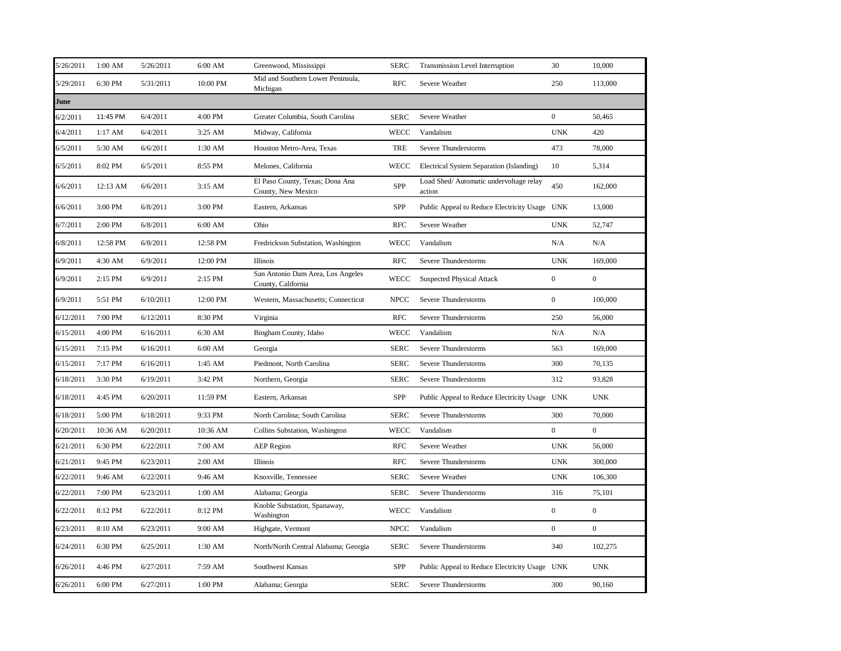| 5/26/2011 | 1:00 AM  | 5/26/2011 | 6:00 AM   | Greenwood, Mississippi                                  | <b>SERC</b> | Transmission Level Interruption                   | 30               | 10,000           |
|-----------|----------|-----------|-----------|---------------------------------------------------------|-------------|---------------------------------------------------|------------------|------------------|
| 5/29/2011 | 6:30 PM  | 5/31/2011 | 10:00 PM  | Mid and Southern Lower Peninsula,<br>Michigan           | <b>RFC</b>  | Severe Weather                                    | 250              | 113,000          |
| June      |          |           |           |                                                         |             |                                                   |                  |                  |
| 6/2/2011  | 11:45 PM | 6/4/2011  | 4:00 PM   | Greater Columbia, South Carolina                        | <b>SERC</b> | Severe Weather                                    | $\overline{0}$   | 50,465           |
| 6/4/2011  | 1:17 AM  | 6/4/2011  | 3:25 AM   | Midway, California                                      | <b>WECC</b> | Vandalism                                         | <b>UNK</b>       | 420              |
| 6/5/2011  | 5:30 AM  | 6/6/2011  | 1:30 AM   | Houston Metro-Area, Texas                               | TRE         | Severe Thunderstorms                              | 473              | 78,000           |
| 6/5/2011  | 8:02 PM  | 6/5/2011  | 8:55 PM   | Melones, California                                     | WECC        | Electrical System Separation (Islanding)          | 10               | 5,314            |
| 6/6/2011  | 12:13 AM | 6/6/2011  | $3:15$ AM | El Paso County, Texas; Dona Ana<br>County, New Mexico   | SPP         | Load Shed/ Automatic undervoltage relay<br>action | 450              | 162,000          |
| 6/6/2011  | 3:00 PM  | 6/8/2011  | 3:00 PM   | Eastern, Arkansas                                       | SPP         | Public Appeal to Reduce Electricity Usage UNK     |                  | 13,000           |
| 6/7/2011  | 2:00 PM  | 6/8/2011  | 6:00 AM   | Ohio                                                    | <b>RFC</b>  | Severe Weather                                    | <b>UNK</b>       | 52,747           |
| 6/8/2011  | 12:58 PM | 6/8/2011  | 12:58 PM  | Fredrickson Substation, Washington                      | WECC        | Vandalism                                         | N/A              | N/A              |
| 6/9/2011  | 4:30 AM  | 6/9/2011  | 12:00 PM  | Illinois                                                | <b>RFC</b>  | Severe Thunderstorms                              | <b>UNK</b>       | 169,000          |
| 6/9/2011  | 2:15 PM  | 6/9/2011  | 2:15 PM   | San Antonio Dam Area, Los Angeles<br>County, California | WECC        | <b>Suspected Physical Attack</b>                  | $\mathbf{0}$     | $\mathbf{0}$     |
| 6/9/2011  | 5:51 PM  | 6/10/2011 | 12:00 PM  | Western, Massachusetts; Connecticut                     | <b>NPCC</b> | Severe Thunderstorms                              | $\mathbf{0}$     | 100,000          |
| 6/12/2011 | 7:00 PM  | 6/12/2011 | 8:30 PM   | Virginia                                                | <b>RFC</b>  | Severe Thunderstorms                              | 250              | 56,000           |
| 6/15/2011 | 4:00 PM  | 6/16/2011 | 6:30 AM   | Bingham County, Idaho                                   | <b>WECC</b> | Vandalism                                         | N/A              | N/A              |
| 6/15/2011 | 7:15 PM  | 6/16/2011 | 6:00 AM   | Georgia                                                 | <b>SERC</b> | Severe Thunderstorms                              | 563              | 169,000          |
| 6/15/2011 | 7:17 PM  | 6/16/2011 | 1:45 AM   | Piedmont, North Carolina                                | <b>SERC</b> | Severe Thunderstorms                              | 300              | 70,135           |
| 6/18/2011 | 3:30 PM  | 6/19/2011 | 3:42 PM   | Northern, Georgia                                       | <b>SERC</b> | Severe Thunderstorms                              | 312              | 93,828           |
| 6/18/2011 | 4:45 PM  | 6/20/2011 | 11:59 PM  | Eastern, Arkansas                                       | SPP         | Public Appeal to Reduce Electricity Usage UNK     |                  | <b>UNK</b>       |
| 6/18/2011 | 5:00 PM  | 6/18/2011 | 9:33 PM   | North Carolina; South Carolina                          | <b>SERC</b> | Severe Thunderstorms                              | 300              | 70,000           |
| 6/20/2011 | 10:36 AM | 6/20/2011 | 10:36 AM  | Collins Substation, Washington                          | <b>WECC</b> | Vandalism                                         | $\mathbf{0}$     | $\boldsymbol{0}$ |
| 6/21/2011 | 6:30 PM  | 6/22/2011 | 7:00 AM   | <b>AEP</b> Region                                       | <b>RFC</b>  | Severe Weather                                    | <b>UNK</b>       | 56,000           |
| 6/21/2011 | 9:45 PM  | 6/23/2011 | 2:00 AM   | Illinois                                                | <b>RFC</b>  | Severe Thunderstorms                              | <b>UNK</b>       | 300,000          |
| 6/22/2011 | 9:46 AM  | 6/22/2011 | 9:46 AM   | Knoxville, Tennessee                                    | <b>SERC</b> | Severe Weather                                    | <b>UNK</b>       | 106,300          |
| 6/22/2011 | 7:00 PM  | 6/23/2011 | 1:00 AM   | Alabama; Georgia                                        | <b>SERC</b> | Severe Thunderstorms                              | 316              | 75,101           |
| 6/22/2011 | 8:12 PM  | 6/22/2011 | 8:12 PM   | Knoble Substation, Spanaway,<br>Washington              | <b>WECC</b> | Vandalism                                         | $\boldsymbol{0}$ | $\boldsymbol{0}$ |
| 6/23/2011 | 8:10 AM  | 6/23/2011 | 9:00 AM   | Highgate, Vermont                                       | <b>NPCC</b> | Vandalism                                         | $\overline{0}$   | $\mathbf{0}$     |
| 6/24/2011 | 6:30 PM  | 6/25/2011 | 1:30 AM   | North/North Central Alabama; Georgia                    | <b>SERC</b> | Severe Thunderstorms                              | 340              | 102,275          |
| 6/26/2011 | 4:46 PM  | 6/27/2011 | 7:59 AM   | Southwest Kansas                                        | SPP         | Public Appeal to Reduce Electricity Usage UNK     |                  | <b>UNK</b>       |
| 6/26/2011 | 6:00 PM  | 6/27/2011 | 1:00 PM   | Alabama; Georgia                                        | <b>SERC</b> | Severe Thunderstorms                              | 300              | 90,160           |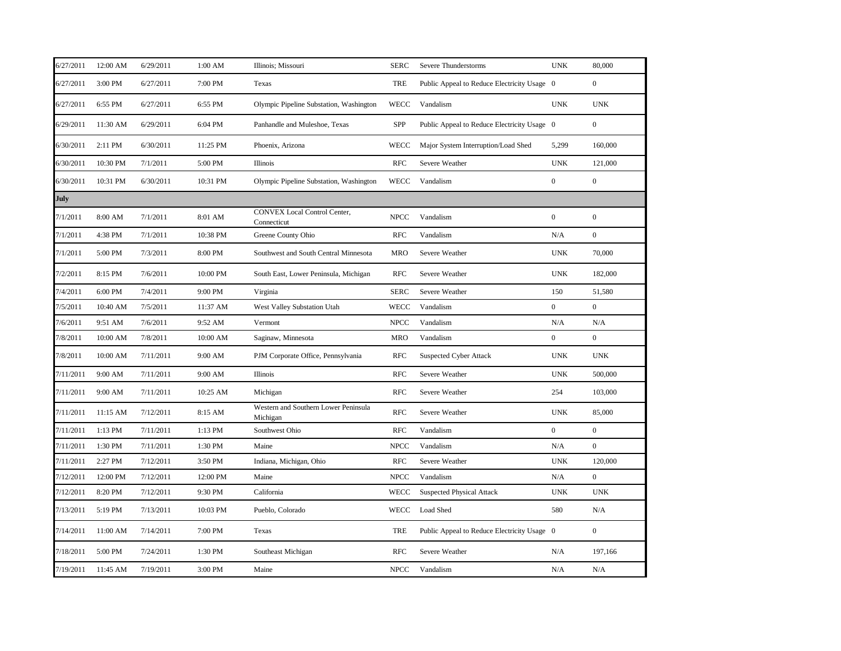| 6/27/2011   | 12:00 AM | 6/29/2011 | 1:00 AM  | Illinois; Missouri                                 | <b>SERC</b> | Severe Thunderstorms                        | <b>UNK</b>       | 80,000           |
|-------------|----------|-----------|----------|----------------------------------------------------|-------------|---------------------------------------------|------------------|------------------|
| 6/27/2011   | 3:00 PM  | 6/27/2011 | 7:00 PM  | Texas                                              | TRE         | Public Appeal to Reduce Electricity Usage 0 |                  | $\mathbf{0}$     |
| 6/27/2011   | 6:55 PM  | 6/27/2011 | 6:55 PM  | Olympic Pipeline Substation, Washington            | <b>WECC</b> | Vandalism                                   | <b>UNK</b>       | <b>UNK</b>       |
| 6/29/2011   | 11:30 AM | 6/29/2011 | 6:04 PM  | Panhandle and Muleshoe, Texas                      | <b>SPP</b>  | Public Appeal to Reduce Electricity Usage 0 |                  | $\boldsymbol{0}$ |
| 6/30/2011   | 2:11 PM  | 6/30/2011 | 11:25 PM | Phoenix, Arizona                                   | <b>WECC</b> | Major System Interruption/Load Shed         | 5,299            | 160,000          |
| 6/30/2011   | 10:30 PM | 7/1/2011  | 5:00 PM  | Illinois                                           | <b>RFC</b>  | Severe Weather                              | <b>UNK</b>       | 121,000          |
| 6/30/2011   | 10:31 PM | 6/30/2011 | 10:31 PM | Olympic Pipeline Substation, Washington            | <b>WECC</b> | Vandalism                                   | $\mathbf{0}$     | $\mathbf{0}$     |
| <b>July</b> |          |           |          |                                                    |             |                                             |                  |                  |
| 7/1/2011    | 8:00 AM  | 7/1/2011  | 8:01 AM  | <b>CONVEX Local Control Center,</b><br>Connecticut | <b>NPCC</b> | Vandalism                                   | $\boldsymbol{0}$ | $\boldsymbol{0}$ |
| 7/1/2011    | 4:38 PM  | 7/1/2011  | 10:38 PM | Greene County Ohio                                 | <b>RFC</b>  | Vandalism                                   | N/A              | $\boldsymbol{0}$ |
| 7/1/2011    | 5:00 PM  | 7/3/2011  | 8:00 PM  | Southwest and South Central Minnesota              | <b>MRO</b>  | Severe Weather                              | <b>UNK</b>       | 70,000           |
| 7/2/2011    | 8:15 PM  | 7/6/2011  | 10:00 PM | South East, Lower Peninsula, Michigan              | <b>RFC</b>  | Severe Weather                              | <b>UNK</b>       | 182,000          |
| 7/4/2011    | 6:00 PM  | 7/4/2011  | 9:00 PM  | Virginia                                           | <b>SERC</b> | Severe Weather                              | 150              | 51,580           |
| 7/5/2011    | 10:40 AM | 7/5/2011  | 11:37 AM | West Valley Substation Utah                        | <b>WECC</b> | Vandalism                                   | $\overline{0}$   | $\mathbf{0}$     |
| 7/6/2011    | 9:51 AM  | 7/6/2011  | 9:52 AM  | Vermont                                            | <b>NPCC</b> | Vandalism                                   | N/A              | N/A              |
| 7/8/2011    | 10:00 AM | 7/8/2011  | 10:00 AM | Saginaw, Minnesota                                 | <b>MRO</b>  | Vandalism                                   | $\boldsymbol{0}$ | $\mathbf{0}$     |
| 7/8/2011    | 10:00 AM | 7/11/2011 | 9:00 AM  | PJM Corporate Office, Pennsylvania                 | <b>RFC</b>  | <b>Suspected Cyber Attack</b>               | <b>UNK</b>       | <b>UNK</b>       |
| 7/11/2011   | 9:00 AM  | 7/11/2011 | 9:00 AM  | Illinois                                           | <b>RFC</b>  | Severe Weather                              | <b>UNK</b>       | 500,000          |
| 7/11/2011   | 9:00 AM  | 7/11/2011 | 10:25 AM | Michigan                                           | <b>RFC</b>  | Severe Weather                              | 254              | 103,000          |
| 7/11/2011   | 11:15 AM | 7/12/2011 | 8:15 AM  | Western and Southern Lower Peninsula<br>Michigan   | <b>RFC</b>  | Severe Weather                              | <b>UNK</b>       | 85,000           |
| 7/11/2011   | 1:13 PM  | 7/11/2011 | 1:13 PM  | Southwest Ohio                                     | <b>RFC</b>  | Vandalism                                   | $\overline{0}$   | $\mathbf{0}$     |
| 7/11/2011   | 1:30 PM  | 7/11/2011 | 1:30 PM  | Maine                                              | <b>NPCC</b> | Vandalism                                   | N/A              | $\boldsymbol{0}$ |
| 7/11/2011   | 2:27 PM  | 7/12/2011 | 3:50 PM  | Indiana, Michigan, Ohio                            | <b>RFC</b>  | Severe Weather                              | <b>UNK</b>       | 120,000          |
| 7/12/2011   | 12:00 PM | 7/12/2011 | 12:00 PM | Maine                                              | <b>NPCC</b> | Vandalism                                   | N/A              | $\boldsymbol{0}$ |
| 7/12/2011   | 8:20 PM  | 7/12/2011 | 9:30 PM  | California                                         | <b>WECC</b> | <b>Suspected Physical Attack</b>            | <b>UNK</b>       | <b>UNK</b>       |
| 7/13/2011   | 5:19 PM  | 7/13/2011 | 10:03 PM | Pueblo, Colorado                                   | <b>WECC</b> | Load Shed                                   | 580              | N/A              |
| 7/14/2011   | 11:00 AM | 7/14/2011 | 7:00 PM  | Texas                                              | TRE         | Public Appeal to Reduce Electricity Usage 0 |                  | $\mathbf{0}$     |
| 7/18/2011   | 5:00 PM  | 7/24/2011 | 1:30 PM  | Southeast Michigan                                 | <b>RFC</b>  | Severe Weather                              | N/A              | 197,166          |
| 7/19/2011   | 11:45 AM | 7/19/2011 | 3:00 PM  | Maine                                              | <b>NPCC</b> | Vandalism                                   | N/A              | N/A              |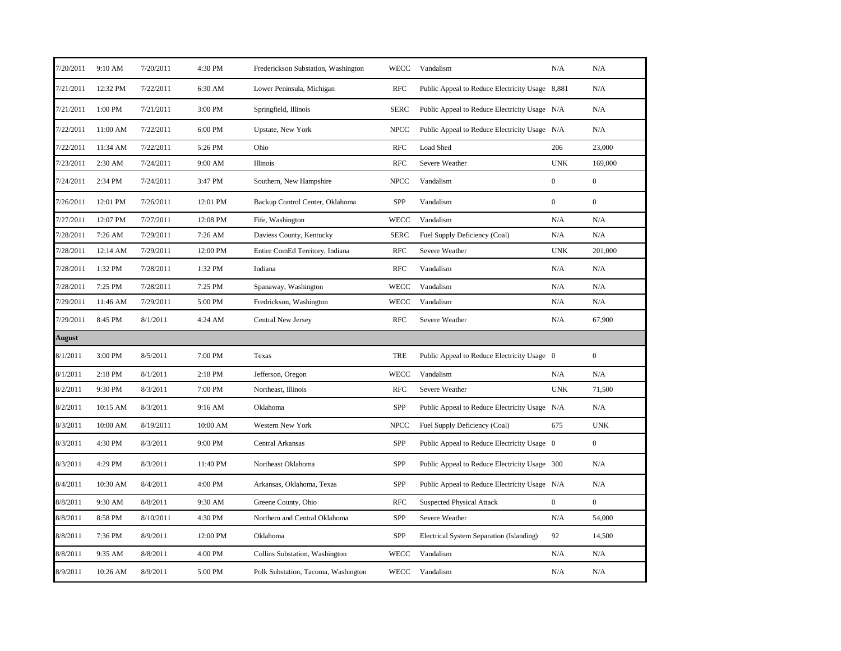| 7/20/2011 | 9:10 AM  | 7/20/2011 | 4:30 PM  | Frederickson Substation, Washington | <b>WECC</b> | Vandalism                                       | N/A              | N/A              |
|-----------|----------|-----------|----------|-------------------------------------|-------------|-------------------------------------------------|------------------|------------------|
| 7/21/2011 | 12:32 PM | 7/22/2011 | 6:30 AM  | Lower Peninsula, Michigan           | <b>RFC</b>  | Public Appeal to Reduce Electricity Usage 8,881 |                  | N/A              |
| 7/21/2011 | 1:00 PM  | 7/21/2011 | 3:00 PM  | Springfield, Illinois               | <b>SERC</b> | Public Appeal to Reduce Electricity Usage N/A   |                  | N/A              |
| 7/22/2011 | 11:00 AM | 7/22/2011 | 6:00 PM  | Upstate, New York                   | <b>NPCC</b> | Public Appeal to Reduce Electricity Usage N/A   |                  | N/A              |
| 7/22/2011 | 11:34 AM | 7/22/2011 | 5:26 PM  | Ohio                                | <b>RFC</b>  | Load Shed                                       | 206              | 23,000           |
| 7/23/2011 | 2:30 AM  | 7/24/2011 | 9:00 AM  | Illinois                            | <b>RFC</b>  | Severe Weather                                  | <b>UNK</b>       | 169,000          |
| 7/24/2011 | 2:34 PM  | 7/24/2011 | 3:47 PM  | Southern, New Hampshire             | <b>NPCC</b> | Vandalism                                       | $\boldsymbol{0}$ | $\boldsymbol{0}$ |
| 7/26/2011 | 12:01 PM | 7/26/2011 | 12:01 PM | Backup Control Center, Oklahoma     | SPP         | Vandalism                                       | $\boldsymbol{0}$ | $\boldsymbol{0}$ |
| 7/27/2011 | 12:07 PM | 7/27/2011 | 12:08 PM | Fife, Washington                    | <b>WECC</b> | Vandalism                                       | N/A              | N/A              |
| 7/28/2011 | 7:26 AM  | 7/29/2011 | 7:26 AM  | Daviess County, Kentucky            | <b>SERC</b> | Fuel Supply Deficiency (Coal)                   | N/A              | N/A              |
| 7/28/2011 | 12:14 AM | 7/29/2011 | 12:00 PM | Entire ComEd Territory, Indiana     | <b>RFC</b>  | Severe Weather                                  | <b>UNK</b>       | 201,000          |
| 7/28/2011 | 1:32 PM  | 7/28/2011 | 1:32 PM  | Indiana                             | <b>RFC</b>  | Vandalism                                       | N/A              | N/A              |
| 7/28/2011 | 7:25 PM  | 7/28/2011 | 7:25 PM  | Spanaway, Washington                | <b>WECC</b> | Vandalism                                       | N/A              | N/A              |
| 7/29/2011 | 11:46 AM | 7/29/2011 | 5:00 PM  | Fredrickson, Washington             | WECC        | Vandalism                                       | N/A              | N/A              |
| 7/29/2011 | 8:45 PM  | 8/1/2011  | 4:24 AM  | Central New Jersey                  | <b>RFC</b>  | Severe Weather                                  | N/A              | 67,900           |
| August    |          |           |          |                                     |             |                                                 |                  |                  |
| 8/1/2011  | 3:00 PM  | 8/5/2011  | 7:00 PM  | Texas                               | <b>TRE</b>  | Public Appeal to Reduce Electricity Usage 0     |                  | $\boldsymbol{0}$ |
| 8/1/2011  | 2:18 PM  | 8/1/2011  | 2:18 PM  | Jefferson, Oregon                   | <b>WECC</b> | Vandalism                                       | N/A              | N/A              |
| 8/2/2011  | 9:30 PM  | 8/3/2011  | 7:00 PM  | Northeast, Illinois                 | <b>RFC</b>  | Severe Weather                                  | <b>UNK</b>       | 71,500           |
| 8/2/2011  | 10:15 AM | 8/3/2011  | 9:16 AM  | Oklahoma                            | SPP         | Public Appeal to Reduce Electricity Usage N/A   |                  | N/A              |
| 8/3/2011  | 10:00 AM | 8/19/2011 | 10:00 AM | Western New York                    | <b>NPCC</b> | Fuel Supply Deficiency (Coal)                   | 675              | <b>UNK</b>       |
| 8/3/2011  | 4:30 PM  | 8/3/2011  | 9:00 PM  | Central Arkansas                    | SPP         | Public Appeal to Reduce Electricity Usage 0     |                  | $\boldsymbol{0}$ |
| 8/3/2011  | 4:29 PM  | 8/3/2011  | 11:40 PM | Northeast Oklahoma                  | <b>SPP</b>  | Public Appeal to Reduce Electricity Usage 300   |                  | N/A              |
| 8/4/2011  | 10:30 AM | 8/4/2011  | 4:00 PM  | Arkansas, Oklahoma, Texas           | SPP         | Public Appeal to Reduce Electricity Usage N/A   |                  | N/A              |
| 8/8/2011  | 9:30 AM  | 8/8/2011  | 9:30 AM  | Greene County, Ohio                 | RFC         | <b>Suspected Physical Attack</b>                | $\boldsymbol{0}$ | $\boldsymbol{0}$ |
| 8/8/2011  | 8:58 PM  | 8/10/2011 | 4:30 PM  | Northern and Central Oklahoma       | SPP         | Severe Weather                                  | N/A              | 54,000           |
| 8/8/2011  | 7:36 PM  | 8/9/2011  | 12:00 PM | Oklahoma                            | <b>SPP</b>  | Electrical System Separation (Islanding)        | 92               | 14,500           |
| 8/8/2011  | 9:35 AM  | 8/8/2011  | 4:00 PM  | Collins Substation, Washington      | WECC        | Vandalism                                       | N/A              | N/A              |
|           |          |           |          |                                     |             |                                                 |                  |                  |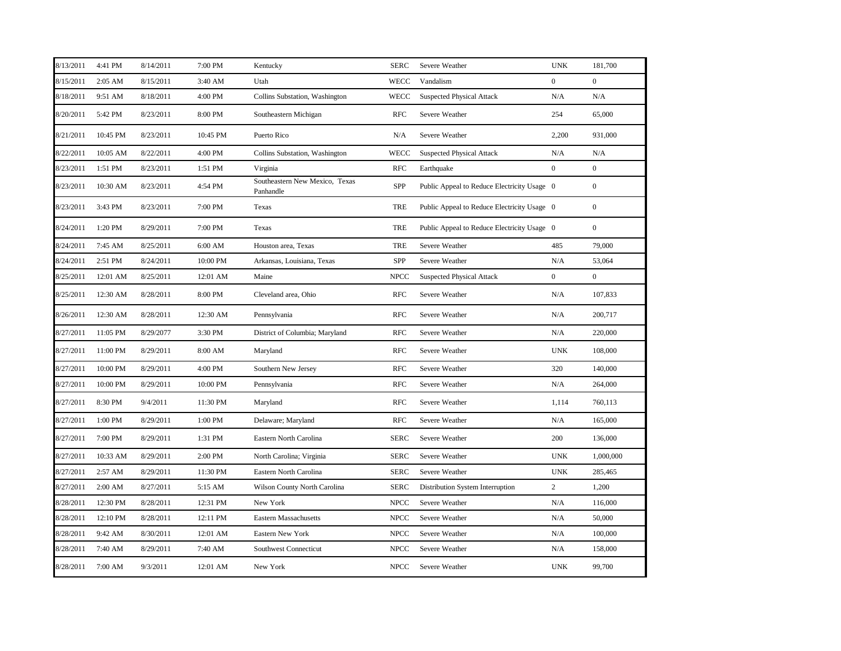| 8/13/2011 | 4:41 PM  | 8/14/2011 | 7:00 PM  | Kentucky                                    | <b>SERC</b> | Severe Weather                              | <b>UNK</b>       | 181,700          |
|-----------|----------|-----------|----------|---------------------------------------------|-------------|---------------------------------------------|------------------|------------------|
| 8/15/2011 | 2:05 AM  | 8/15/2011 | 3:40 AM  | Utah                                        | <b>WECC</b> | Vandalism                                   | $\boldsymbol{0}$ | $\boldsymbol{0}$ |
| 8/18/2011 | 9:51 AM  | 8/18/2011 | 4:00 PM  | Collins Substation, Washington              | <b>WECC</b> | <b>Suspected Physical Attack</b>            | N/A              | N/A              |
| 8/20/2011 | 5:42 PM  | 8/23/2011 | 8:00 PM  | Southeastern Michigan                       | <b>RFC</b>  | Severe Weather                              | 254              | 65,000           |
| 8/21/2011 | 10:45 PM | 8/23/2011 | 10:45 PM | Puerto Rico                                 | N/A         | Severe Weather                              | 2,200            | 931,000          |
| 8/22/2011 | 10:05 AM | 8/22/2011 | 4:00 PM  | Collins Substation, Washington              | <b>WECC</b> | <b>Suspected Physical Attack</b>            | N/A              | N/A              |
| 8/23/2011 | 1:51 PM  | 8/23/2011 | 1:51 PM  | Virginia                                    | <b>RFC</b>  | Earthquake                                  | $\boldsymbol{0}$ | $\boldsymbol{0}$ |
| 8/23/2011 | 10:30 AM | 8/23/2011 | 4:54 PM  | Southeastern New Mexico, Texas<br>Panhandle | SPP         | Public Appeal to Reduce Electricity Usage 0 |                  | $\boldsymbol{0}$ |
| 8/23/2011 | 3:43 PM  | 8/23/2011 | 7:00 PM  | Texas                                       | TRE         | Public Appeal to Reduce Electricity Usage 0 |                  | $\boldsymbol{0}$ |
| 8/24/2011 | 1:20 PM  | 8/29/2011 | 7:00 PM  | Texas                                       | TRE         | Public Appeal to Reduce Electricity Usage 0 |                  | $\mathbf{0}$     |
| 8/24/2011 | 7:45 AM  | 8/25/2011 | 6:00 AM  | Houston area, Texas                         | TRE         | Severe Weather                              | 485              | 79,000           |
| 8/24/2011 | 2:51 PM  | 8/24/2011 | 10:00 PM | Arkansas, Louisiana, Texas                  | SPP         | Severe Weather                              | N/A              | 53,064           |
| 8/25/2011 | 12:01 AM | 8/25/2011 | 12:01 AM | Maine                                       | <b>NPCC</b> | <b>Suspected Physical Attack</b>            | $\overline{0}$   | $\overline{0}$   |
| 8/25/2011 | 12:30 AM | 8/28/2011 | 8:00 PM  | Cleveland area, Ohio                        | <b>RFC</b>  | Severe Weather                              | N/A              | 107,833          |
| 8/26/2011 | 12:30 AM | 8/28/2011 | 12:30 AM | Pennsylvania                                | <b>RFC</b>  | Severe Weather                              | N/A              | 200,717          |
| 8/27/2011 | 11:05 PM | 8/29/2077 | 3:30 PM  | District of Columbia; Maryland              | RFC         | Severe Weather                              | N/A              | 220,000          |
| 8/27/2011 | 11:00 PM | 8/29/2011 | 8:00 AM  | Maryland                                    | RFC         | Severe Weather                              | <b>UNK</b>       | 108,000          |
| 8/27/2011 | 10:00 PM | 8/29/2011 | 4:00 PM  | Southern New Jersey                         | <b>RFC</b>  | Severe Weather                              | 320              | 140,000          |
| 8/27/2011 | 10:00 PM | 8/29/2011 | 10:00 PM | Pennsylvania                                | <b>RFC</b>  | Severe Weather                              | N/A              | 264,000          |
| 8/27/2011 | 8:30 PM  | 9/4/2011  | 11:30 PM | Maryland                                    | <b>RFC</b>  | Severe Weather                              | 1,114            | 760,113          |
| 8/27/2011 | 1:00 PM  | 8/29/2011 | 1:00 PM  | Delaware; Maryland                          | <b>RFC</b>  | Severe Weather                              | N/A              | 165,000          |
| 8/27/2011 | 7:00 PM  | 8/29/2011 | 1:31 PM  | Eastern North Carolina                      | <b>SERC</b> | Severe Weather                              | 200              | 136,000          |
| 8/27/2011 | 10:33 AM | 8/29/2011 | 2:00 PM  | North Carolina; Virginia                    | <b>SERC</b> | Severe Weather                              | <b>UNK</b>       | 1,000,000        |
| 8/27/2011 | 2:57 AM  | 8/29/2011 | 11:30 PM | Eastern North Carolina                      | <b>SERC</b> | Severe Weather                              | <b>UNK</b>       | 285,465          |
| 8/27/2011 | 2:00 AM  | 8/27/2011 | 5:15 AM  | Wilson County North Carolina                | <b>SERC</b> | Distribution System Interruption            | $\sqrt{2}$       | 1,200            |
| 8/28/2011 | 12:30 PM | 8/28/2011 | 12:31 PM | New York                                    | <b>NPCC</b> | Severe Weather                              | N/A              | 116,000          |
| 8/28/2011 | 12:10 PM | 8/28/2011 | 12:11 PM | <b>Eastern Massachusetts</b>                | <b>NPCC</b> | Severe Weather                              | N/A              | 50,000           |
| 8/28/2011 | 9:42 AM  | 8/30/2011 | 12:01 AM | Eastern New York                            | <b>NPCC</b> | Severe Weather                              | N/A              | 100,000          |
| 8/28/2011 | 7:40 AM  | 8/29/2011 | 7:40 AM  | Southwest Connecticut                       | <b>NPCC</b> | Severe Weather                              | N/A              | 158,000          |
| 8/28/2011 | 7:00 AM  | 9/3/2011  | 12:01 AM | New York                                    | <b>NPCC</b> | Severe Weather                              | <b>UNK</b>       | 99,700           |
|           |          |           |          |                                             |             |                                             |                  |                  |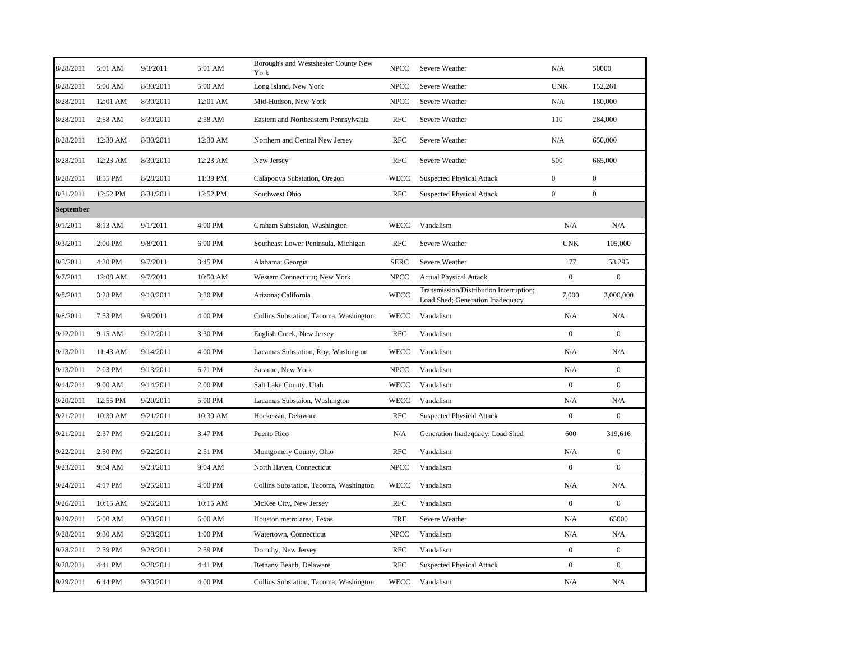| 8/28/2011 | 5:01 AM  | 9/3/2011  | 5:01 AM  | Borough's and Westshester County New<br>York | <b>NPCC</b> | Severe Weather                                                              | N/A              | 50000            |
|-----------|----------|-----------|----------|----------------------------------------------|-------------|-----------------------------------------------------------------------------|------------------|------------------|
| 8/28/2011 | 5:00 AM  | 8/30/2011 | 5:00 AM  | Long Island, New York                        | <b>NPCC</b> | Severe Weather                                                              | <b>UNK</b>       | 152,261          |
| 8/28/2011 | 12:01 AM | 8/30/2011 | 12:01 AM | Mid-Hudson, New York                         | <b>NPCC</b> | Severe Weather                                                              | N/A              | 180,000          |
| 8/28/2011 | 2:58 AM  | 8/30/2011 | 2:58 AM  | Eastern and Northeastern Pennsylvania        | <b>RFC</b>  | Severe Weather                                                              | 110              | 284,000          |
| 8/28/2011 | 12:30 AM | 8/30/2011 | 12:30 AM | Northern and Central New Jersey              | <b>RFC</b>  | Severe Weather                                                              | N/A              | 650,000          |
| 8/28/2011 | 12:23 AM | 8/30/2011 | 12:23 AM | New Jersey                                   | <b>RFC</b>  | Severe Weather                                                              | 500              | 665,000          |
| 8/28/2011 | 8:55 PM  | 8/28/2011 | 11:39 PM | Calapooya Substation, Oregon                 | <b>WECC</b> | <b>Suspected Physical Attack</b>                                            | $\overline{0}$   | $\boldsymbol{0}$ |
| 8/31/2011 | 12:52 PM | 8/31/2011 | 12:52 PM | Southwest Ohio                               | <b>RFC</b>  | <b>Suspected Physical Attack</b>                                            | $\overline{0}$   | $\bf{0}$         |
| September |          |           |          |                                              |             |                                                                             |                  |                  |
| 9/1/2011  | 8:13 AM  | 9/1/2011  | 4:00 PM  | Graham Substaion, Washington                 | <b>WECC</b> | Vandalism                                                                   | N/A              | N/A              |
| 9/3/2011  | 2:00 PM  | 9/8/2011  | 6:00 PM  | Southeast Lower Peninsula, Michigan          | <b>RFC</b>  | Severe Weather                                                              | <b>UNK</b>       | 105,000          |
| 9/5/2011  | 4:30 PM  | 9/7/2011  | 3:45 PM  | Alabama; Georgia                             | <b>SERC</b> | Severe Weather                                                              | 177              | 53,295           |
| 9/7/2011  | 12:08 AM | 9/7/2011  | 10:50 AM | Western Connecticut; New York                | <b>NPCC</b> | <b>Actual Physical Attack</b>                                               | $\mathbf{0}$     | $\boldsymbol{0}$ |
| 9/8/2011  | 3:28 PM  | 9/10/2011 | 3:30 PM  | Arizona; California                          | <b>WECC</b> | Transmission/Distribution Interruption;<br>Load Shed; Generation Inadequacy | 7,000            | 2,000,000        |
| 9/8/2011  | 7:53 PM  | 9/9/2011  | 4:00 PM  | Collins Substation, Tacoma, Washington       | WECC        | Vandalism                                                                   | N/A              | N/A              |
| 9/12/2011 | 9:15 AM  | 9/12/2011 | 3:30 PM  | English Creek, New Jersey                    | <b>RFC</b>  | Vandalism                                                                   | $\boldsymbol{0}$ | $\boldsymbol{0}$ |
| 9/13/2011 | 11:43 AM | 9/14/2011 | 4:00 PM  | Lacamas Substation, Roy, Washington          | <b>WECC</b> | Vandalism                                                                   | N/A              | N/A              |
| 9/13/2011 | 2:03 PM  | 9/13/2011 | 6:21 PM  | Saranac, New York                            | <b>NPCC</b> | Vandalism                                                                   | N/A              | $\mathbf{0}$     |
| 9/14/2011 | 9:00 AM  | 9/14/2011 | 2:00 PM  | Salt Lake County, Utah                       | <b>WECC</b> | Vandalism                                                                   | $\boldsymbol{0}$ | $\overline{0}$   |
| 9/20/2011 | 12:55 PM | 9/20/2011 | 5:00 PM  | Lacamas Substaion, Washington                | <b>WECC</b> | Vandalism                                                                   | N/A              | N/A              |
| 9/21/2011 | 10:30 AM | 9/21/2011 | 10:30 AM | Hockessin, Delaware                          | <b>RFC</b>  | <b>Suspected Physical Attack</b>                                            | $\boldsymbol{0}$ | $\boldsymbol{0}$ |
| 9/21/2011 | 2:37 PM  | 9/21/2011 | 3:47 PM  | Puerto Rico                                  | N/A         | Generation Inadequacy; Load Shed                                            | 600              | 319,616          |
| 9/22/2011 | 2:50 PM  | 9/22/2011 | 2:51 PM  | Montgomery County, Ohio                      | <b>RFC</b>  | Vandalism                                                                   | N/A              | $\boldsymbol{0}$ |
| 9/23/2011 | 9:04 AM  | 9/23/2011 | 9:04 AM  | North Haven, Connecticut                     | <b>NPCC</b> | Vandalism                                                                   | $\boldsymbol{0}$ | $\boldsymbol{0}$ |
| 9/24/2011 | 4:17 PM  | 9/25/2011 | 4:00 PM  | Collins Substation, Tacoma, Washington       | <b>WECC</b> | Vandalism                                                                   | N/A              | N/A              |
| 9/26/2011 | 10:15 AM | 9/26/2011 | 10:15 AM | McKee City, New Jersey                       | <b>RFC</b>  | Vandalism                                                                   | $\boldsymbol{0}$ | $\boldsymbol{0}$ |
| 9/29/2011 | 5:00 AM  | 9/30/2011 | 6:00 AM  | Houston metro area, Texas                    | <b>TRE</b>  | Severe Weather                                                              | N/A              | 65000            |
| 9/28/2011 | 9:30 AM  | 9/28/2011 | 1:00 PM  | Watertown, Connecticut                       | <b>NPCC</b> | Vandalism                                                                   | N/A              | N/A              |
| 9/28/2011 | 2:59 PM  | 9/28/2011 | 2:59 PM  | Dorothy, New Jersey                          | <b>RFC</b>  | Vandalism                                                                   | $\boldsymbol{0}$ | $\boldsymbol{0}$ |
| 9/28/2011 | 4:41 PM  | 9/28/2011 | 4:41 PM  | Bethany Beach, Delaware                      | <b>RFC</b>  | <b>Suspected Physical Attack</b>                                            | $\boldsymbol{0}$ | $\boldsymbol{0}$ |
| 9/29/2011 | 6:44 PM  | 9/30/2011 | 4:00 PM  | Collins Substation, Tacoma, Washington       | WECC        | Vandalism                                                                   | N/A              | N/A              |
|           |          |           |          |                                              |             |                                                                             |                  |                  |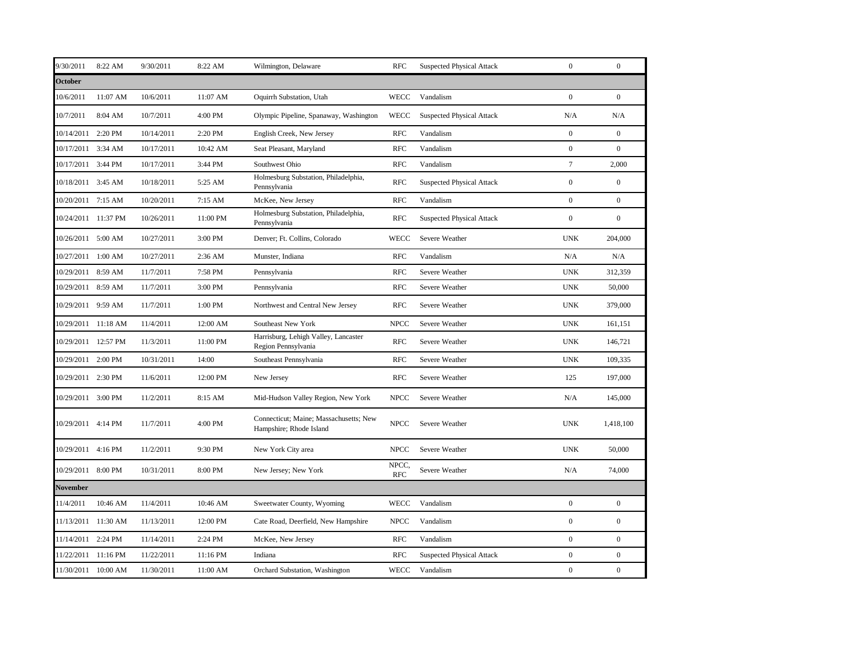| 9/30/2011          | 8:22 AM             | 9/30/2011  | 8:22 AM  | Wilmington, Delaware                                              | <b>RFC</b>          | <b>Suspected Physical Attack</b> | $\mathbf{0}$     | $\mathbf{0}$     |
|--------------------|---------------------|------------|----------|-------------------------------------------------------------------|---------------------|----------------------------------|------------------|------------------|
| <b>October</b>     |                     |            |          |                                                                   |                     |                                  |                  |                  |
| 10/6/2011          | 11:07 AM            | 10/6/2011  | 11:07 AM | Oquirrh Substation, Utah                                          | <b>WECC</b>         | Vandalism                        | $\boldsymbol{0}$ | $\mathbf{0}$     |
| 10/7/2011          | 8:04 AM             | 10/7/2011  | 4:00 PM  | Olympic Pipeline, Spanaway, Washington                            | <b>WECC</b>         | <b>Suspected Physical Attack</b> | N/A              | N/A              |
| 10/14/2011         | 2:20 PM             | 10/14/2011 | 2:20 PM  | English Creek, New Jersey                                         | <b>RFC</b>          | Vandalism                        | $\overline{0}$   | $\mathbf{0}$     |
| 10/17/2011 3:34 AM |                     | 10/17/2011 | 10:42 AM | Seat Pleasant, Maryland                                           | <b>RFC</b>          | Vandalism                        | $\boldsymbol{0}$ | $\mathbf{0}$     |
| 10/17/2011 3:44 PM |                     | 10/17/2011 | 3:44 PM  | Southwest Ohio                                                    | <b>RFC</b>          | Vandalism                        | $\boldsymbol{7}$ | 2,000            |
| 10/18/2011 3:45 AM |                     | 10/18/2011 | 5:25 AM  | Holmesburg Substation, Philadelphia,<br>Pennsylvania              | <b>RFC</b>          | <b>Suspected Physical Attack</b> | $\overline{0}$   | $\mathbf{0}$     |
| 10/20/2011 7:15 AM |                     | 10/20/2011 | 7:15 AM  | McKee, New Jersey                                                 | <b>RFC</b>          | Vandalism                        | $\boldsymbol{0}$ | $\overline{0}$   |
|                    | 10/24/2011 11:37 PM | 10/26/2011 | 11:00 PM | Holmesburg Substation, Philadelphia,<br>Pennsylvania              | <b>RFC</b>          | <b>Suspected Physical Attack</b> | $\boldsymbol{0}$ | $\boldsymbol{0}$ |
| 10/26/2011 5:00 AM |                     | 10/27/2011 | 3:00 PM  | Denver; Ft. Collins, Colorado                                     | <b>WECC</b>         | Severe Weather                   | <b>UNK</b>       | 204,000          |
| 10/27/2011         | 1:00 AM             | 10/27/2011 | 2:36 AM  | Munster, Indiana                                                  | <b>RFC</b>          | Vandalism                        | N/A              | N/A              |
| 10/29/2011         | 8:59 AM             | 11/7/2011  | 7:58 PM  | Pennsylvania                                                      | <b>RFC</b>          | Severe Weather                   | <b>UNK</b>       | 312,359          |
| 10/29/2011 8:59 AM |                     | 11/7/2011  | 3:00 PM  | Pennsylvania                                                      | <b>RFC</b>          | Severe Weather                   | <b>UNK</b>       | 50,000           |
| 10/29/2011 9:59 AM |                     | 11/7/2011  | 1:00 PM  | Northwest and Central New Jersey                                  | <b>RFC</b>          | Severe Weather                   | <b>UNK</b>       | 379,000          |
|                    | 10/29/2011 11:18 AM | 11/4/2011  | 12:00 AM | Southeast New York                                                | <b>NPCC</b>         | Severe Weather                   | <b>UNK</b>       | 161,151          |
|                    | 10/29/2011 12:57 PM | 11/3/2011  | 11:00 PM | Harrisburg, Lehigh Valley, Lancaster<br>Region Pennsylvania       | <b>RFC</b>          | Severe Weather                   | <b>UNK</b>       | 146,721          |
| 10/29/2011 2:00 PM |                     | 10/31/2011 | 14:00    | Southeast Pennsylvania                                            | <b>RFC</b>          | Severe Weather                   | <b>UNK</b>       | 109,335          |
| 10/29/2011 2:30 PM |                     | 11/6/2011  | 12:00 PM | New Jersey                                                        | <b>RFC</b>          | Severe Weather                   | 125              | 197,000          |
| 10/29/2011 3:00 PM |                     | 11/2/2011  | 8:15 AM  | Mid-Hudson Valley Region, New York                                | <b>NPCC</b>         | Severe Weather                   | N/A              | 145,000          |
| 10/29/2011 4:14 PM |                     | 11/7/2011  | 4:00 PM  | Connecticut; Maine; Massachusetts; New<br>Hampshire; Rhode Island | <b>NPCC</b>         | Severe Weather                   | <b>UNK</b>       | 1,418,100        |
| 10/29/2011 4:16 PM |                     | 11/2/2011  | 9:30 PM  | New York City area                                                | <b>NPCC</b>         | Severe Weather                   | <b>UNK</b>       | 50,000           |
| 10/29/2011 8:00 PM |                     | 10/31/2011 | 8:00 PM  | New Jersey; New York                                              | NPCC,<br><b>RFC</b> | Severe Weather                   | N/A              | 74,000           |
| <b>November</b>    |                     |            |          |                                                                   |                     |                                  |                  |                  |
| 11/4/2011          | 10:46 AM            | 11/4/2011  | 10:46 AM | Sweetwater County, Wyoming                                        | <b>WECC</b>         | Vandalism                        | $\boldsymbol{0}$ | $\boldsymbol{0}$ |
| 11/13/2011         | 11:30 AM            | 11/13/2011 | 12:00 PM | Cate Road, Deerfield, New Hampshire                               | <b>NPCC</b>         | Vandalism                        | $\boldsymbol{0}$ | $\mathbf{0}$     |
| 11/14/2011 2:24 PM |                     | 11/14/2011 | 2:24 PM  | McKee, New Jersey                                                 | <b>RFC</b>          | Vandalism                        | $\mathbf{0}$     | $\boldsymbol{0}$ |
| 11/22/2011         | 11:16 PM            | 11/22/2011 | 11:16 PM | Indiana                                                           | <b>RFC</b>          | <b>Suspected Physical Attack</b> | $\overline{0}$   | $\overline{0}$   |
|                    | 11/30/2011 10:00 AM | 11/30/2011 | 11:00 AM | Orchard Substation, Washington                                    | <b>WECC</b>         | Vandalism                        | $\boldsymbol{0}$ | $\boldsymbol{0}$ |